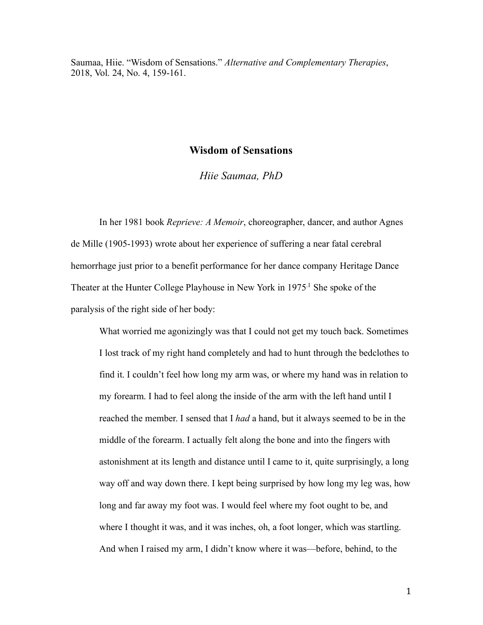Saumaa, Hiie. "Wisdom of Sensations." *Alternative and Complementary Therapies*, 2018, Vol. 24, No. 4, 159-161.

# **Wisdom of Sensations**

*Hiie Saumaa, PhD*

In her 1981 book *Reprieve: A Memoir*, choreographer, dancer, and author Agnes de Mille (1905-1993) wrote about her experience of suffering a near fatal cerebral hemorrhage just prior to a benefit performance for her dance company Heritage Dance Theater at the Hunter College Playhouse in New York in 1975<sup>1</sup> She spoke of the paralysis of the right side of her body:

What worried me agonizingly was that I could not get my touch back. Sometimes I lost track of my right hand completely and had to hunt through the bedclothes to find it. I couldn't feel how long my arm was, or where my hand was in relation to my forearm. I had to feel along the inside of the arm with the left hand until I reached the member. I sensed that I *had* a hand, but it always seemed to be in the middle of the forearm. I actually felt along the bone and into the fingers with astonishment at its length and distance until I came to it, quite surprisingly, a long way off and way down there. I kept being surprised by how long my leg was, how long and far away my foot was. I would feel where my foot ought to be, and where I thought it was, and it was inches, oh, a foot longer, which was startling. And when I raised my arm, I didn't know where it was—before, behind, to the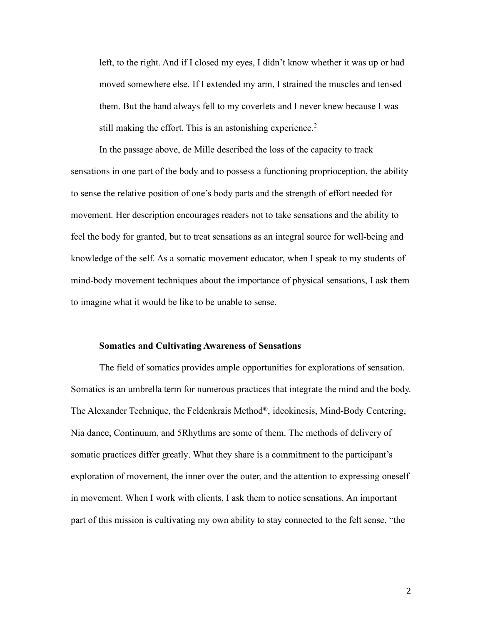left, to the right. And if I closed my eyes, I didn't know whether it was up or had moved somewhere else. If I extended my arm, I strained the muscles and tensed them. But the hand always fell to my coverlets and I never knew because I was still making the effort. This is an astonishing experience.<sup>2</sup>

In the passage above, de Mille described the loss of the capacity to track sensations in one part of the body and to possess a functioning proprioception, the ability to sense the relative position of one's body parts and the strength of effort needed for movement. Her description encourages readers not to take sensations and the ability to feel the body for granted, but to treat sensations as an integral source for well-being and knowledge of the self. As a somatic movement educator, when I speak to my students of mind-body movement techniques about the importance of physical sensations, I ask them to imagine what it would be like to be unable to sense.

#### **Somatics and Cultivating Awareness of Sensations**

The field of somatics provides ample opportunities for explorations of sensation. Somatics is an umbrella term for numerous practices that integrate the mind and the body. The Alexander Technique, the Feldenkrais Method®, ideokinesis, Mind-Body Centering, Nia dance, Continuum, and 5Rhythms are some of them. The methods of delivery of somatic practices differ greatly. What they share is a commitment to the participant's exploration of movement, the inner over the outer, and the attention to expressing oneself in movement. When I work with clients, I ask them to notice sensations. An important part of this mission is cultivating my own ability to stay connected to the felt sense, "the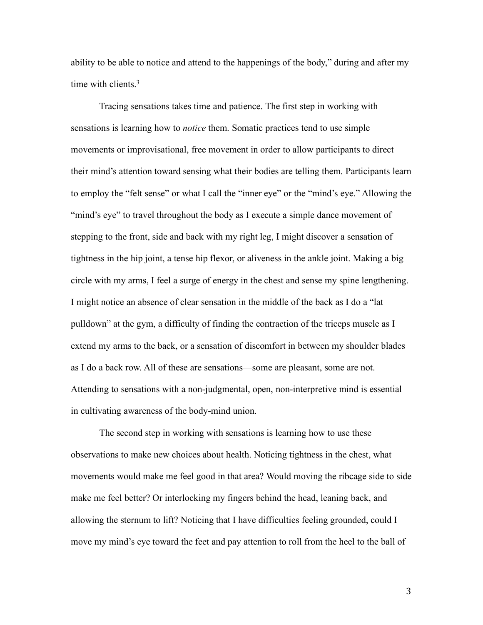ability to be able to notice and attend to the happenings of the body," during and after my time with clients.<sup>3</sup>

Tracing sensations takes time and patience. The first step in working with sensations is learning how to *notice* them. Somatic practices tend to use simple movements or improvisational, free movement in order to allow participants to direct their mind's attention toward sensing what their bodies are telling them. Participants learn to employ the "felt sense" or what I call the "inner eye" or the "mind's eye." Allowing the "mind's eye" to travel throughout the body as I execute a simple dance movement of stepping to the front, side and back with my right leg, I might discover a sensation of tightness in the hip joint, a tense hip flexor, or aliveness in the ankle joint. Making a big circle with my arms, I feel a surge of energy in the chest and sense my spine lengthening. I might notice an absence of clear sensation in the middle of the back as I do a "lat pulldown" at the gym, a difficulty of finding the contraction of the triceps muscle as I extend my arms to the back, or a sensation of discomfort in between my shoulder blades as I do a back row. All of these are sensations—some are pleasant, some are not. Attending to sensations with a non-judgmental, open, non-interpretive mind is essential in cultivating awareness of the body-mind union.

The second step in working with sensations is learning how to use these observations to make new choices about health. Noticing tightness in the chest, what movements would make me feel good in that area? Would moving the ribcage side to side make me feel better? Or interlocking my fingers behind the head, leaning back, and allowing the sternum to lift? Noticing that I have difficulties feeling grounded, could I move my mind's eye toward the feet and pay attention to roll from the heel to the ball of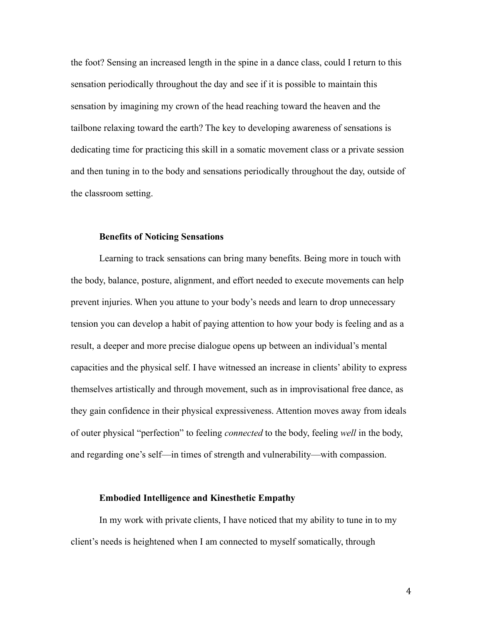the foot? Sensing an increased length in the spine in a dance class, could I return to this sensation periodically throughout the day and see if it is possible to maintain this sensation by imagining my crown of the head reaching toward the heaven and the tailbone relaxing toward the earth? The key to developing awareness of sensations is dedicating time for practicing this skill in a somatic movement class or a private session and then tuning in to the body and sensations periodically throughout the day, outside of the classroom setting.

## **Benefits of Noticing Sensations**

Learning to track sensations can bring many benefits. Being more in touch with the body, balance, posture, alignment, and effort needed to execute movements can help prevent injuries. When you attune to your body's needs and learn to drop unnecessary tension you can develop a habit of paying attention to how your body is feeling and as a result, a deeper and more precise dialogue opens up between an individual's mental capacities and the physical self. I have witnessed an increase in clients' ability to express themselves artistically and through movement, such as in improvisational free dance, as they gain confidence in their physical expressiveness. Attention moves away from ideals of outer physical "perfection" to feeling *connected* to the body, feeling *well* in the body, and regarding one's self—in times of strength and vulnerability—with compassion.

#### **Embodied Intelligence and Kinesthetic Empathy**

In my work with private clients, I have noticed that my ability to tune in to my client's needs is heightened when I am connected to myself somatically, through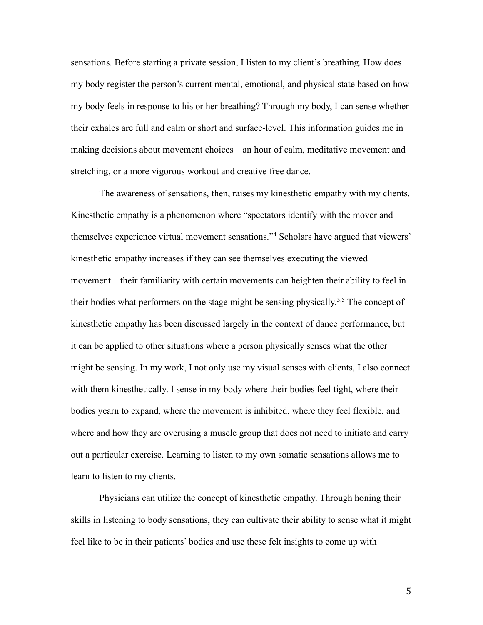sensations. Before starting a private session, I listen to my client's breathing. How does my body register the person's current mental, emotional, and physical state based on how my body feels in response to his or her breathing? Through my body, I can sense whether their exhales are full and calm or short and surface-level. This information guides me in making decisions about movement choices—an hour of calm, meditative movement and stretching, or a more vigorous workout and creative free dance.

The awareness of sensations, then, raises my kinesthetic empathy with my clients. Kinesthetic empathy is a phenomenon where "spectators identify with the mover and themselves experience virtual movement sensations."4 Scholars have argued that viewers' kinesthetic empathy increases if they can see themselves executing the viewed movement—their familiarity with certain movements can heighten their ability to feel in their bodies what performers on the stage might be sensing physically.<sup>5,5</sup> The concept of kinesthetic empathy has been discussed largely in the context of dance performance, but it can be applied to other situations where a person physically senses what the other might be sensing. In my work, I not only use my visual senses with clients, I also connect with them kinesthetically. I sense in my body where their bodies feel tight, where their bodies yearn to expand, where the movement is inhibited, where they feel flexible, and where and how they are overusing a muscle group that does not need to initiate and carry out a particular exercise. Learning to listen to my own somatic sensations allows me to learn to listen to my clients.

Physicians can utilize the concept of kinesthetic empathy. Through honing their skills in listening to body sensations, they can cultivate their ability to sense what it might feel like to be in their patients' bodies and use these felt insights to come up with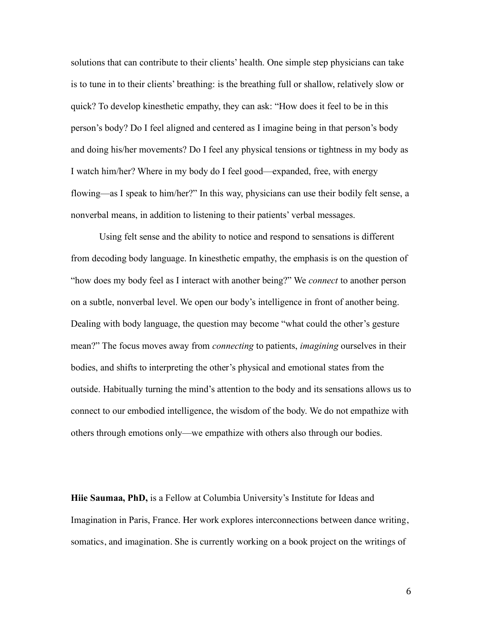solutions that can contribute to their clients' health. One simple step physicians can take is to tune in to their clients' breathing: is the breathing full or shallow, relatively slow or quick? To develop kinesthetic empathy, they can ask: "How does it feel to be in this person's body? Do I feel aligned and centered as I imagine being in that person's body and doing his/her movements? Do I feel any physical tensions or tightness in my body as I watch him/her? Where in my body do I feel good—expanded, free, with energy flowing—as I speak to him/her?" In this way, physicians can use their bodily felt sense, a nonverbal means, in addition to listening to their patients' verbal messages.

Using felt sense and the ability to notice and respond to sensations is different from decoding body language. In kinesthetic empathy, the emphasis is on the question of "how does my body feel as I interact with another being?" We *connect* to another person on a subtle, nonverbal level. We open our body's intelligence in front of another being. Dealing with body language, the question may become "what could the other's gesture mean?" The focus moves away from *connecting* to patients, *imagining* ourselves in their bodies, and shifts to interpreting the other's physical and emotional states from the outside. Habitually turning the mind's attention to the body and its sensations allows us to connect to our embodied intelligence, the wisdom of the body. We do not empathize with others through emotions only—we empathize with others also through our bodies.

**Hiie Saumaa, PhD,** is a Fellow at Columbia University's Institute for Ideas and Imagination in Paris, France. Her work explores interconnections between dance writing, somatics, and imagination. She is currently working on a book project on the writings of